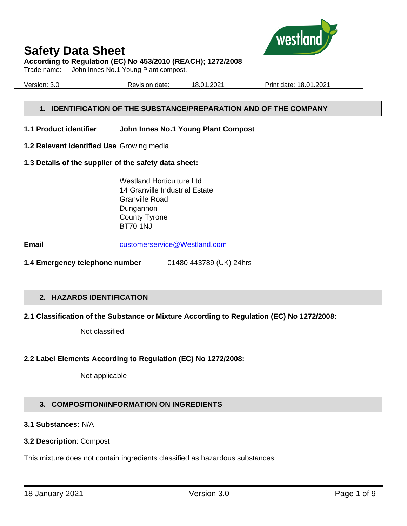

# **According to Regulation (EC) No 453/2010 (REACH); 1272/2008**

Trade name: John Innes No.1 Young Plant compost.

Version: 3.0 Revision date: 18.01.2021 Print date: 18.01.2021

# **1. IDENTIFICATION OF THE SUBSTANCE/PREPARATION AND OF THE COMPANY**

#### **1.1 Product identifier John Innes No.1 Young Plant Compost**

**1.2 Relevant identified Use** Growing media

#### **1.3 Details of the supplier of the safety data sheet:**

Westland Horticulture Ltd 14 Granville Industrial Estate Granville Road Dungannon County Tyrone BT70 1NJ

**Email** [customerservice@Westland.com](mailto:customerservice@Westland.com)

**1.4 Emergency telephone number** 01480 443789 (UK) 24hrs

# **2. HAZARDS IDENTIFICATION**

# **2.1 Classification of the Substance or Mixture According to Regulation (EC) No 1272/2008:**

Not classified

# **2.2 Label Elements According to Regulation (EC) No 1272/2008:**

Not applicable

# **3. COMPOSITION/INFORMATION ON INGREDIENTS**

# **3.1 Substances:** N/A

#### **3.2 Description**: Compost

This mixture does not contain ingredients classified as hazardous substances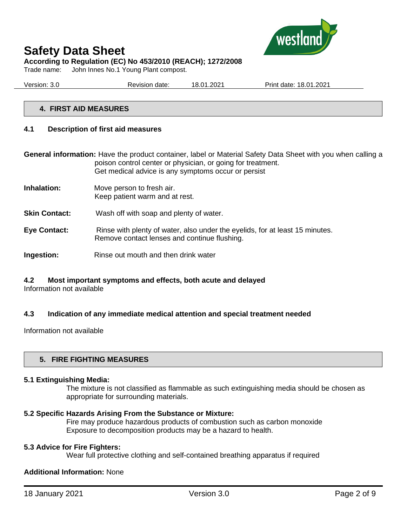

Trade name: John Innes No.1 Young Plant compost.

| Version: 3.0 | Revision date: | 1.2021<br>18.01 | Print date: 18.01.2021 |
|--------------|----------------|-----------------|------------------------|
|              |                |                 |                        |

# **4. FIRST AID MEASURES**

#### **4.1 Description of first aid measures**

**General information:** Have the product container, label or Material Safety Data Sheet with you when calling a poison control center or physician, or going for treatment. Get medical advice is any symptoms occur or persist

- **Inhalation:** Move person to fresh air. Keep patient warm and at rest.
- **Skin Contact:** Wash off with soap and plenty of water.
- **Eye Contact:** Rinse with plenty of water, also under the eyelids, for at least 15 minutes. Remove contact lenses and continue flushing.
- **Ingestion:** Rinse out mouth and then drink water

# **4.2 Most important symptoms and effects, both acute and delayed**

Information not available

#### **4.3 Indication of any immediate medical attention and special treatment needed**

Information not available

#### **5. FIRE FIGHTING MEASURES**

#### **5.1 Extinguishing Media:**

The mixture is not classified as flammable as such extinguishing media should be chosen as appropriate for surrounding materials.

#### **5.2 Specific Hazards Arising From the Substance or Mixture:**

Fire may produce hazardous products of combustion such as carbon monoxide Exposure to decomposition products may be a hazard to health.

#### **5.3 Advice for Fire Fighters:**

Wear full protective clothing and self-contained breathing apparatus if required

#### **Additional Information:** None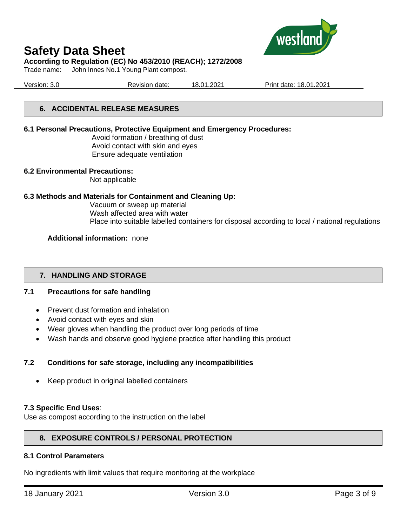

#### **According to Regulation (EC) No 453/2010 (REACH); 1272/2008**

Trade name: John Innes No.1 Young Plant compost.

Version: 3.0 Revision date: 18.01.2021 Print date: 18.01.2021

# **6. ACCIDENTAL RELEASE MEASURES**

#### **6.1 Personal Precautions, Protective Equipment and Emergency Procedures:**

Avoid formation / breathing of dust Avoid contact with skin and eyes Ensure adequate ventilation

#### **6.2 Environmental Precautions:**

Not applicable

#### **6.3 Methods and Materials for Containment and Cleaning Up:**

Vacuum or sweep up material Wash affected area with water Place into suitable labelled containers for disposal according to local / national regulations

#### **Additional information:** none

# **7. HANDLING AND STORAGE**

# **7.1 Precautions for safe handling**

- Prevent dust formation and inhalation
- Avoid contact with eyes and skin
- Wear gloves when handling the product over long periods of time
- Wash hands and observe good hygiene practice after handling this product

# **7.2 Conditions for safe storage, including any incompatibilities**

• Keep product in original labelled containers

#### **7.3 Specific End Uses**:

Use as compost according to the instruction on the label

# **8. EXPOSURE CONTROLS / PERSONAL PROTECTION**

#### **8.1 Control Parameters**

No ingredients with limit values that require monitoring at the workplace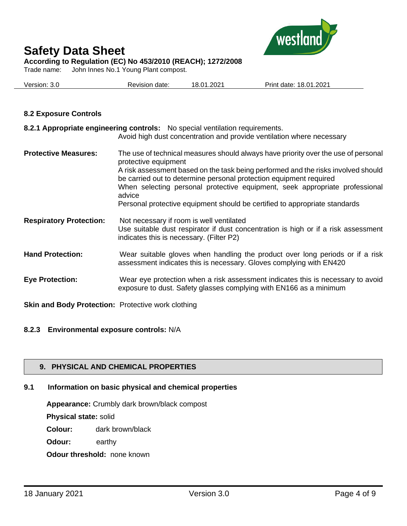

**According to Regulation (EC) No 453/2010 (REACH); 1272/2008**

Trade name: John Innes No.1 Young Plant compost.

| Version: 3.0 | Revision date: | 18.01.2021 | Print date: 18.01.2021 |
|--------------|----------------|------------|------------------------|
|              |                |            |                        |

# **8.2 Exposure Controls**

|                                | 8.2.1 Appropriate engineering controls: No special ventilation requirements.<br>Avoid high dust concentration and provide ventilation where necessary                                                                                                                                                                                                                                                                                        |
|--------------------------------|----------------------------------------------------------------------------------------------------------------------------------------------------------------------------------------------------------------------------------------------------------------------------------------------------------------------------------------------------------------------------------------------------------------------------------------------|
| <b>Protective Measures:</b>    | The use of technical measures should always have priority over the use of personal<br>protective equipment<br>A risk assessment based on the task being performed and the risks involved should<br>be carried out to determine personal protection equipment required<br>When selecting personal protective equipment, seek appropriate professional<br>advice<br>Personal protective equipment should be certified to appropriate standards |
| <b>Respiratory Protection:</b> | Not necessary if room is well ventilated<br>Use suitable dust respirator if dust concentration is high or if a risk assessment<br>indicates this is necessary. (Filter P2)                                                                                                                                                                                                                                                                   |
| <b>Hand Protection:</b>        | Wear suitable gloves when handling the product over long periods or if a risk<br>assessment indicates this is necessary. Gloves complying with EN420                                                                                                                                                                                                                                                                                         |
| <b>Eye Protection:</b>         | Wear eye protection when a risk assessment indicates this is necessary to avoid<br>exposure to dust. Safety glasses complying with EN166 as a minimum                                                                                                                                                                                                                                                                                        |

**Skin and Body Protection:** Protective work clothing

# **8.2.3 Environmental exposure controls:** N/A

# **9. PHYSICAL AND CHEMICAL PROPERTIES**

# **9.1 Information on basic physical and chemical properties**

**Appearance:** Crumbly dark brown/black compost

**Physical state:** solid

**Colour:** dark brown/black

**Odour:** earthy

**Odour threshold:** none known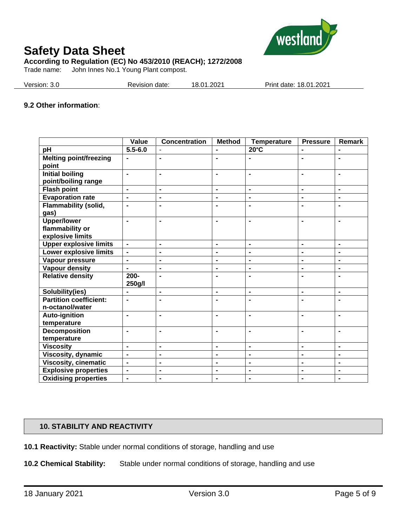

Trade name: John Innes No.1 Young Plant compost.

| Print date: 18.01.2021<br>Version: 3.0<br>18.01.2021<br>Revision date: |
|------------------------------------------------------------------------|
|------------------------------------------------------------------------|

#### **9.2 Other information**:

|                               | Value                    | <b>Concentration</b> | <b>Method</b>  | <b>Temperature</b> | <b>Pressure</b> | Remark         |
|-------------------------------|--------------------------|----------------------|----------------|--------------------|-----------------|----------------|
| pH                            | $5.5 - 6.0$              |                      |                | $20^{\circ}$ C     |                 |                |
| <b>Melting point/freezing</b> | $\blacksquare$           | $\blacksquare$       | $\blacksquare$ | $\blacksquare$     | $\blacksquare$  | $\blacksquare$ |
| point                         |                          |                      |                |                    |                 |                |
| <b>Initial boiling</b>        | $\blacksquare$           | $\blacksquare$       | $\blacksquare$ | $\blacksquare$     | $\blacksquare$  | $\blacksquare$ |
| point/boiling range           |                          |                      |                |                    |                 |                |
| <b>Flash point</b>            | $\blacksquare$           | $\blacksquare$       | $\blacksquare$ | $\blacksquare$     | $\blacksquare$  | $\blacksquare$ |
| <b>Evaporation rate</b>       | $\blacksquare$           | $\blacksquare$       | $\blacksquare$ | $\blacksquare$     | $\blacksquare$  | $\blacksquare$ |
| <b>Flammability (solid,</b>   |                          | ۰                    | $\blacksquare$ |                    |                 | $\blacksquare$ |
| gas)                          |                          |                      |                |                    |                 |                |
| <b>Upper/lower</b>            | $\blacksquare$           | $\blacksquare$       | $\blacksquare$ | $\blacksquare$     | $\blacksquare$  | $\blacksquare$ |
| flammability or               |                          |                      |                |                    |                 |                |
| explosive limits              |                          |                      |                |                    |                 |                |
| <b>Upper explosive limits</b> | $\blacksquare$           | $\blacksquare$       | $\blacksquare$ | $\blacksquare$     | $\blacksquare$  | $\blacksquare$ |
| <b>Lower explosive limits</b> | $\blacksquare$           | $\blacksquare$       | $\blacksquare$ | $\blacksquare$     | $\blacksquare$  | $\blacksquare$ |
| Vapour pressure               | $\blacksquare$           | $\blacksquare$       | $\blacksquare$ | $\blacksquare$     | $\blacksquare$  | $\blacksquare$ |
| <b>Vapour density</b>         | $\blacksquare$           | $\blacksquare$       | $\blacksquare$ | $\blacksquare$     | $\blacksquare$  | $\blacksquare$ |
| <b>Relative density</b>       | $200 -$                  | $\blacksquare$       | $\blacksquare$ | $\blacksquare$     | $\blacksquare$  | $\blacksquare$ |
|                               | 250g/l                   |                      |                |                    |                 |                |
| Solubility(ies)               | $\blacksquare$           | $\blacksquare$       | $\blacksquare$ | $\blacksquare$     | $\blacksquare$  | $\blacksquare$ |
| <b>Partition coefficient:</b> | $\blacksquare$           | $\blacksquare$       | $\blacksquare$ | $\blacksquare$     |                 | $\blacksquare$ |
| n-octanol/water               |                          |                      |                |                    |                 |                |
| <b>Auto-ignition</b>          | $\blacksquare$           | $\blacksquare$       | $\blacksquare$ | $\blacksquare$     | $\blacksquare$  | $\blacksquare$ |
| temperature                   |                          |                      |                |                    |                 |                |
| <b>Decomposition</b>          | $\blacksquare$           | $\blacksquare$       | $\blacksquare$ | $\blacksquare$     |                 | $\blacksquare$ |
| temperature                   |                          |                      |                |                    |                 |                |
| <b>Viscosity</b>              | $\blacksquare$           | $\blacksquare$       | $\blacksquare$ | $\blacksquare$     | $\blacksquare$  | $\blacksquare$ |
| Viscosity, dynamic            | $\overline{\phantom{0}}$ | $\blacksquare$       | $\blacksquare$ | $\blacksquare$     | $\blacksquare$  | $\blacksquare$ |
| <b>Viscosity, cinematic</b>   | $\overline{\phantom{0}}$ | $\blacksquare$       | $\blacksquare$ | $\blacksquare$     | $\blacksquare$  | $\blacksquare$ |
| <b>Explosive properties</b>   | $\blacksquare$           | $\blacksquare$       | $\blacksquare$ | $\blacksquare$     | $\blacksquare$  | $\blacksquare$ |
| <b>Oxidising properties</b>   | $\blacksquare$           | $\blacksquare$       | $\blacksquare$ | $\blacksquare$     | $\blacksquare$  | $\blacksquare$ |

# **10. STABILITY AND REACTIVITY**

**10.1 Reactivity:** Stable under normal conditions of storage, handling and use

**10.2 Chemical Stability:** Stable under normal conditions of storage, handling and use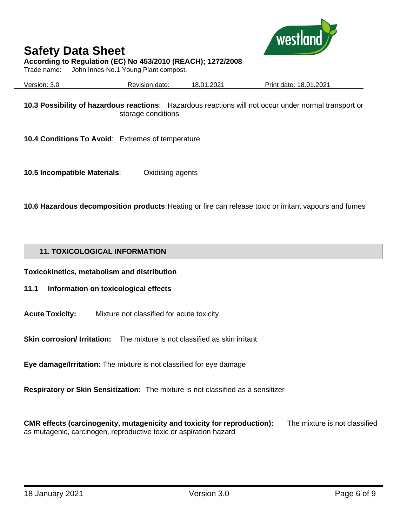

# **According to Regulation (EC) No 453/2010 (REACH); 1272/2008**

Trade name: John Innes No.1 Young Plant compost.

| Version: 3.0 | Revision date: | 18.01.2021 | Print date: 18.01.2021 |
|--------------|----------------|------------|------------------------|
|              |                |            |                        |

**10.3 Possibility of hazardous reactions**: Hazardous reactions will not occur under normal transport or storage conditions.

**10.4 Conditions To Avoid**: Extremes of temperature

**10.5 Incompatible Materials**: Oxidising agents

**10.6 Hazardous decomposition products**: Heating or fire can release toxic or irritant vapours and fumes

# **11. TOXICOLOGICAL INFORMATION**

**Toxicokinetics, metabolism and distribution**

# **11.1 Information on toxicological effects**

**Acute Toxicity:** Mixture not classified for acute toxicity

**Skin corrosion/ Irritation:** The mixture is not classified as skin irritant

**Eye damage/Irritation:** The mixture is not classified for eye damage

**Respiratory or Skin Sensitization:** The mixture is not classified as a sensitizer

**CMR effects (carcinogenity, mutagenicity and toxicity for reproduction):** The mixture is not classified as mutagenic, carcinogen, reproductive toxic or aspiration hazard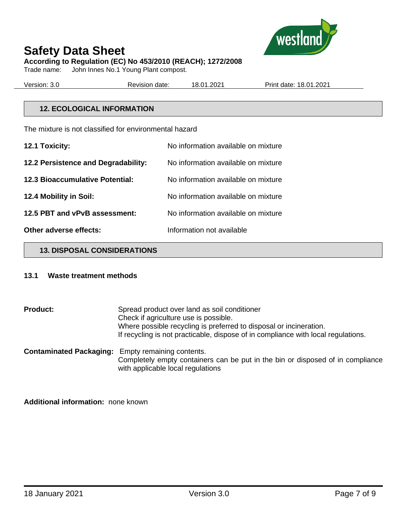

John Innes No.1 Young Plant compost.

Version: 3.0 Revision date: 18.01.2021 Print date: 18.01.2021

# **12. ECOLOGICAL INFORMATION**

The mixture is not classified for environmental hazard

| 12.1 Toxicity:                         | No information available on mixture |
|----------------------------------------|-------------------------------------|
| 12.2 Persistence and Degradability:    | No information available on mixture |
| <b>12.3 Bioaccumulative Potential:</b> | No information available on mixture |
| 12.4 Mobility in Soil:                 | No information available on mixture |
| 12.5 PBT and vPvB assessment:          | No information available on mixture |
| Other adverse effects:                 | Information not available           |

#### **13. DISPOSAL CONSIDERATIONS**

#### **13.1 Waste treatment methods**

**Product:** Spread product over land as soil conditioner Check if agriculture use is possible. Where possible recycling is preferred to disposal or incineration. If recycling is not practicable, dispose of in compliance with local regulations. **Contaminated Packaging:** Empty remaining contents. Completely empty containers can be put in the bin or disposed of in compliance

with applicable local regulations

**Additional information:** none known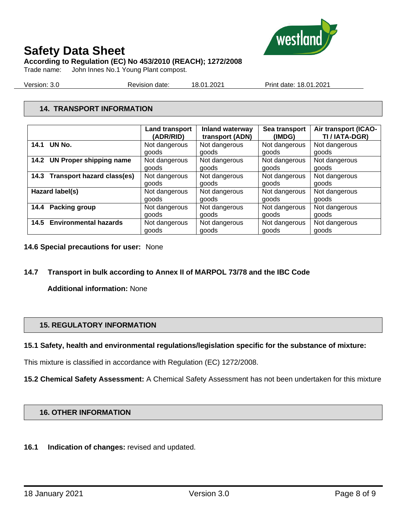

**According to Regulation (EC) No 453/2010 (REACH); 1272/2008**

Trade name: John Innes No.1 Young Plant compost.

Version: 3.0 Revision date: 18.01.2021 Print date: 18.01.2021

# **14. TRANSPORT INFORMATION**

|                                 | <b>Land transport</b> | Inland waterway | Sea transport | Air transport (ICAO- |
|---------------------------------|-----------------------|-----------------|---------------|----------------------|
|                                 | (ADR/RID)             | transport (ADN) | (IMDG)        | TI / IATA-DGR)       |
| 14.1 UN No.                     | Not dangerous         | Not dangerous   | Not dangerous | Not dangerous        |
|                                 | goods                 | goods           | goods         | goods                |
| 14.2 UN Proper shipping name    | Not dangerous         | Not dangerous   | Not dangerous | Not dangerous        |
|                                 | goods                 | goods           | goods         | goods                |
| 14.3 Transport hazard class(es) | Not dangerous         | Not dangerous   | Not dangerous | Not dangerous        |
|                                 | goods                 | goods           | goods         | goods                |
| Hazard label(s)                 | Not dangerous         | Not dangerous   | Not dangerous | Not dangerous        |
|                                 | goods                 | goods           | goods         | goods                |
| 14.4 Packing group              | Not dangerous         | Not dangerous   | Not dangerous | Not dangerous        |
|                                 | goods                 | goods           | goods         | goods                |
| 14.5 Environmental hazards      | Not dangerous         | Not dangerous   | Not dangerous | Not dangerous        |
|                                 | goods                 | goods           | goods         | goods                |

- **14.6 Special precautions for user:** None
- **14.7 Transport in bulk according to Annex II of MARPOL 73/78 and the IBC Code**

**Additional information:** None

# **15. REGULATORY INFORMATION**

# **15.1 Safety, health and environmental regulations/legislation specific for the substance of mixture:**

This mixture is classified in accordance with Regulation (EC) 1272/2008.

**15.2 Chemical Safety Assessment:** A Chemical Safety Assessment has not been undertaken for this mixture

# **16. OTHER INFORMATION**

**16.1 Indication of changes:** revised and updated.